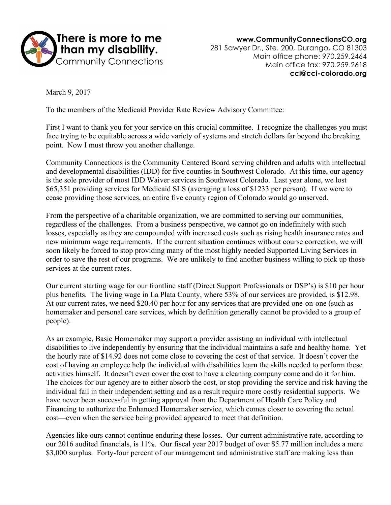

www.CommunityConnectionsCO.org 281 Sawyer Dr., Ste. 200, Durango, CO 81303 Main office phone: 970.259.2464 Main office fax: 970.259.2618 cci@cci-colorado.org

March 9, 2017

To the members of the Medicaid Provider Rate Review Advisory Committee:

First I want to thank you for your service on this crucial committee. I recognize the challenges you must face trying to be equitable across a wide variety of systems and stretch dollars far beyond the breaking point. Now I must throw you another challenge.

Community Connections is the Community Centered Board serving children and adults with intellectual and developmental disabilities (IDD) for five counties in Southwest Colorado. At this time, our agency is the sole provider of most IDD Waiver services in Southwest Colorado. Last year alone, we lost \$65,351 providing services for Medicaid SLS (averaging a loss of \$1233 per person). If we were to cease providing those services, an entire five county region of Colorado would go unserved.

From the perspective of a charitable organization, we are committed to serving our communities, regardless of the challenges. From a business perspective, we cannot go on indefinitely with such losses, especially as they are compounded with increased costs such as rising health insurance rates and new minimum wage requirements. If the current situation continues without course correction, we will soon likely be forced to stop providing many of the most highly needed Supported Living Services in order to save the rest of our programs. We are unlikely to find another business willing to pick up those services at the current rates.

Our current starting wage for our frontline staff (Direct Support Professionals or DSP's) is \$10 per hour plus benefits. The living wage in La Plata County, where 53% of our services are provided, is \$12.98. At our current rates, we need \$20.40 per hour for any services that are provided one-on-one (such as homemaker and personal care services, which by definition generally cannot be provided to a group of people).

As an example, Basic Homemaker may support a provider assisting an individual with intellectual disabilities to live independently by ensuring that the individual maintains a safe and healthy home. Yet the hourly rate of \$14.92 does not come close to covering the cost of that service. It doesn't cover the cost of having an employee help the individual with disabilities learn the skills needed to perform these activities himself. It doesn't even cover the cost to have a cleaning company come and do it for him. The choices for our agency are to either absorb the cost, or stop providing the service and risk having the individual fail in their independent setting and as a result require more costly residential supports. We have never been successful in getting approval from the Department of Health Care Policy and Financing to authorize the Enhanced Homemaker service, which comes closer to covering the actual cost—even when the service being provided appeared to meet that definition.

Agencies like ours cannot continue enduring these losses. Our current administrative rate, according to our 2016 audited financials, is 11%. Our fiscal year 2017 budget of over \$5.77 million includes a mere \$3,000 surplus. Forty-four percent of our management and administrative staff are making less than